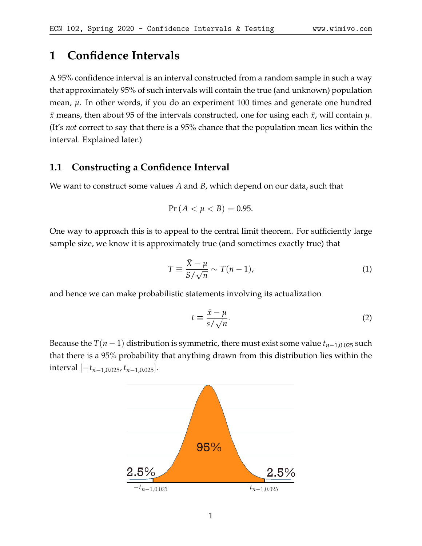# **1 Confidence Intervals**

A 95% confidence interval is an interval constructed from a random sample in such a way that approximately 95% of such intervals will contain the true (and unknown) population mean, *µ*. In other words, if you do an experiment 100 times and generate one hundred  $\bar{x}$  means, then about 95 of the intervals constructed, one for using each  $\bar{x}$ , will contain  $\mu$ . (It's *not* correct to say that there is a 95% chance that the population mean lies within the interval. Explained later.)

## **1.1 Constructing a Confidence Interval**

We want to construct some values *A* and *B*, which depend on our data, such that

$$
Pr(A < \mu < B) = 0.95.
$$

One way to approach this is to appeal to the central limit theorem. For sufficiently large sample size, we know it is approximately true (and sometimes exactly true) that

$$
T \equiv \frac{\bar{X} - \mu}{S / \sqrt{n}} \sim T(n - 1),\tag{1}
$$

and hence we can make probabilistic statements involving its actualization

$$
t \equiv \frac{\bar{x} - \mu}{s / \sqrt{n}}.\tag{2}
$$

Because the  $T(n-1)$  distribution is symmetric, there must exist some value  $t_{n-1,0.025}$  such that there is a 95% probability that anything drawn from this distribution lies within the interval [−*tn*−1,0.025, *tn*−1,0.025].

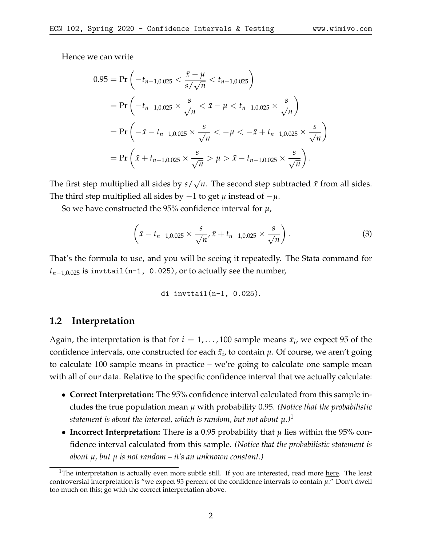Hence we can write

$$
0.95 = \Pr\left(-t_{n-1,0.025} < \frac{\bar{x} - \mu}{s / \sqrt{n}} < t_{n-1,0.025}\right)
$$
\n
$$
= \Pr\left(-t_{n-1,0.025} \times \frac{s}{\sqrt{n}} < \bar{x} - \mu < t_{n-1,0.025} \times \frac{s}{\sqrt{n}}\right)
$$
\n
$$
= \Pr\left(-\bar{x} - t_{n-1,0.025} \times \frac{s}{\sqrt{n}} < -\mu < -\bar{x} + t_{n-1,0.025} \times \frac{s}{\sqrt{n}}\right)
$$
\n
$$
= \Pr\left(\bar{x} + t_{n-1,0.025} \times \frac{s}{\sqrt{n}} > \mu > \bar{x} - t_{n-1,0.025} \times \frac{s}{\sqrt{n}}\right).
$$

The first step multiplied all sides by *s*/ √ *n*. The second step subtracted  $\bar{x}$  from all sides. The third step multiplied all sides by −1 to get *µ* instead of −*µ*.

So we have constructed the 95% confidence interval for *µ*,

$$
\left(\bar{x} - t_{n-1,0.025} \times \frac{s}{\sqrt{n}}, \bar{x} + t_{n-1,0.025} \times \frac{s}{\sqrt{n}}\right).
$$
 (3)

That's the formula to use, and you will be seeing it repeatedly. The Stata command for  $t_{n-1,0.025}$  is invttail(n-1, 0.025), or to actually see the number,

di 
$$
invttail(n-1, 0.025)
$$
.

#### **1.2 Interpretation**

Again, the interpretation is that for  $i = 1, \ldots, 100$  sample means  $\bar{x}_i$ , we expect 95 of the confidence intervals, one constructed for each  $\bar{x}_i$ , to contain  $\mu$ . Of course, we aren't going to calculate 100 sample means in practice – we're going to calculate one sample mean with all of our data. Relative to the specific confidence interval that we actually calculate:

- **Correct Interpretation:** The 95% confidence interval calculated from this sample includes the true population mean *µ* with probability 0.95. *(Notice that the probabilistic statement is about the interval, which is random, but not about*  $\mu$ .)<sup>[1](#page-1-0)</sup>
- **Incorrect Interpretation:** There is a 0.95 probability that  $\mu$  lies within the 95% confidence interval calculated from this sample. *(Notice that the probabilistic statement is about µ, but µ is not random – it's an unknown constant.)*

<span id="page-1-0"></span><sup>&</sup>lt;sup>1</sup>The interpretation is actually even more subtle still. If you are interested, read more [here.](https://newonlinecourses.science.psu.edu/stat414/node/197/) The least controversial interpretation is "we expect 95 percent of the confidence intervals to contain *µ*." Don't dwell too much on this; go with the correct interpretation above.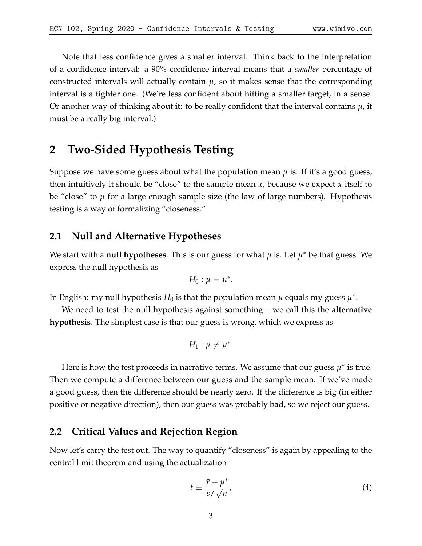Note that less confidence gives a smaller interval. Think back to the interpretation of a confidence interval: a 90% confidence interval means that a *smaller* percentage of constructed intervals will actually contain  $\mu$ , so it makes sense that the corresponding interval is a tighter one. (We're less confident about hitting a smaller target, in a sense. Or another way of thinking about it: to be really confident that the interval contains *µ*, it must be a really big interval.)

# **2 Two-Sided Hypothesis Testing**

Suppose we have some guess about what the population mean  $\mu$  is. If it's a good guess, then intuitively it should be "close" to the sample mean  $\bar{x}$ , because we expect  $\bar{x}$  itself to be "close" to *µ* for a large enough sample size (the law of large numbers). Hypothesis testing is a way of formalizing "closeness."

#### **2.1 Null and Alternative Hypotheses**

We start with a **null hypotheses**. This is our guess for what *µ* is. Let *µ* <sup>∗</sup> be that guess. We express the null hypothesis as

$$
H_0: \mu=\mu^*.
$$

In English: my null hypothesis  $H_0$  is that the population mean  $\mu$  equals my guess  $\mu^*$ .

We need to test the null hypothesis against something – we call this the **alternative hypothesis**. The simplest case is that our guess is wrong, which we express as

$$
H_1: \mu \neq \mu^*.
$$

Here is how the test proceeds in narrative terms. We assume that our guess  $\mu^*$  is true. Then we compute a difference between our guess and the sample mean. If we've made a good guess, then the difference should be nearly zero. If the difference is big (in either positive or negative direction), then our guess was probably bad, so we reject our guess.

#### **2.2 Critical Values and Rejection Region**

Now let's carry the test out. The way to quantify "closeness" is again by appealing to the central limit theorem and using the actualization

$$
t \equiv \frac{\bar{x} - \mu^*}{s / \sqrt{n}},\tag{4}
$$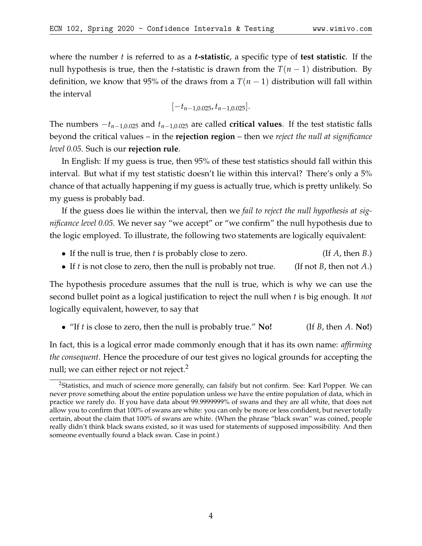where the number *t* is referred to as a t**-statistic**, a specific type of **test statistic**. If the null hypothesis is true, then the *t*-statistic is drawn from the  $T(n-1)$  distribution. By definition, we know that 95% of the draws from a  $T(n-1)$  distribution will fall within the interval

[−*tn*−1,0.025, *tn*−1,0.025].

The numbers  $-t_{n-1,0.025}$  and  $t_{n-1,0.025}$  are called **critical values**. If the test statistic falls beyond the critical values – in the **rejection region** – then we *reject the null at significance level 0.05*. Such is our **rejection rule**.

In English: If my guess is true, then 95% of these test statistics should fall within this interval. But what if my test statistic doesn't lie within this interval? There's only a 5% chance of that actually happening if my guess is actually true, which is pretty unlikely. So my guess is probably bad.

If the guess does lie within the interval, then we *fail to reject the null hypothesis at significance level 0.05*. We never say "we accept" or "we confirm" the null hypothesis due to the logic employed. To illustrate, the following two statements are logically equivalent:

- If the null is true, then *t* is probably close to zero. (If *A*, then *B*.)
- If *t* is not close to zero, then the null is probably not true. (If not *B*, then not *A*.)

The hypothesis procedure assumes that the null is true, which is why we can use the second bullet point as a logical justification to reject the null when *t* is big enough. It *not* logically equivalent, however, to say that

• "If *t* is close to zero, then the null is probably true." **No!** (If *B*, then *A*. **No!**)

In fact, this is a logical error made commonly enough that it has its own name: *affirming the consequent*. Hence the procedure of our test gives no logical grounds for accepting the null; we can either reject or not reject. $2^2$  $2^2$ 

<span id="page-3-0"></span><sup>&</sup>lt;sup>2</sup>Statistics, and much of science more generally, can falsify but not confirm. See: Karl Popper. We can never prove something about the entire population unless we have the entire population of data, which in practice we rarely do. If you have data about 99.9999999% of swans and they are all white, that does not allow you to confirm that 100% of swans are white: you can only be more or less confident, but never totally certain, about the claim that 100% of swans are white. (When the phrase "black swan" was coined, people really didn't think black swans existed, so it was used for statements of supposed impossibility. And then someone eventually found a black swan. Case in point.)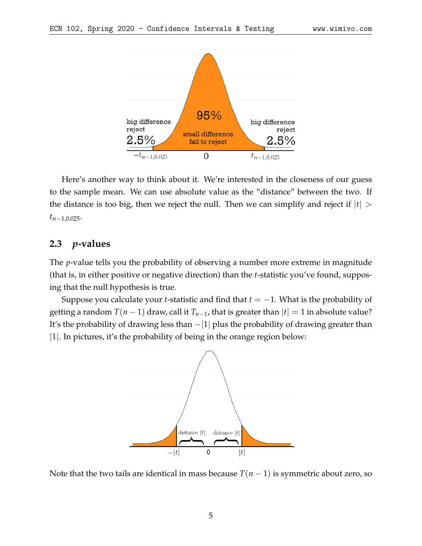

Here's another way to think about it. We're interested in the closeness of our guess to the sample mean. We can use absolute value as the "distance" between the two. If the distance is too big, then we reject the null. Then we can simplify and reject if  $|t|$  > *tn*−1,0.025.

## **2.3** *p***-values**

The *p*-value tells you the probability of observing a number more extreme in magnitude (that is, in either positive or negative direction) than the *t*-statistic you've found, supposing that the null hypothesis is true.

Suppose you calculate your *t*-statistic and find that *t* = −1. What is the probability of getting a random  $T(n-1)$  draw, call it  $T_{n-1}$ , that is greater than  $|t|=1$  in absolute value? It's the probability of drawing less than  $-|1|$  plus the probability of drawing greater than |1|. In pictures, it's the probability of being in the orange region below:



Note that the two tails are identical in mass because  $T(n-1)$  is symmetric about zero, so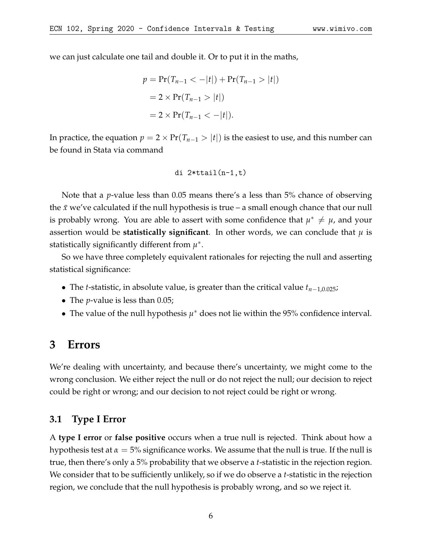we can just calculate one tail and double it. Or to put it in the maths,

$$
p = \Pr(T_{n-1} < -|t|) + \Pr(T_{n-1} > |t|)
$$
\n
$$
= 2 \times \Pr(T_{n-1} > |t|)
$$
\n
$$
= 2 \times \Pr(T_{n-1} < -|t|).
$$

In practice, the equation  $p = 2 \times Pr(T_{n-1} > |t|)$  is the easiest to use, and this number can be found in Stata via command

di 
$$
2*ttail(n-1,t)
$$

Note that a *p*-value less than 0.05 means there's a less than 5% chance of observing the  $\bar{x}$  we've calculated if the null hypothesis is true – a small enough chance that our null is probably wrong. You are able to assert with some confidence that  $\mu^* \neq \mu$ , and your assertion would be **statistically significant**. In other words, we can conclude that  $\mu$  is statistically significantly different from *µ* ∗ .

So we have three completely equivalent rationales for rejecting the null and asserting statistical significance:

- The *t*-statistic, in absolute value, is greater than the critical value *tn*−1,0.025;
- The *p*-value is less than 0.05;
- The value of the null hypothesis  $\mu^*$  does not lie within the 95% confidence interval.

# **3 Errors**

We're dealing with uncertainty, and because there's uncertainty, we might come to the wrong conclusion. We either reject the null or do not reject the null; our decision to reject could be right or wrong; and our decision to not reject could be right or wrong.

#### **3.1 Type I Error**

A **type I error** or **false positive** occurs when a true null is rejected. Think about how a hypothesis test at  $\alpha = 5\%$  significance works. We assume that the null is true. If the null is true, then there's only a 5% probability that we observe a *t*-statistic in the rejection region. We consider that to be sufficiently unlikely, so if we do observe a *t*-statistic in the rejection region, we conclude that the null hypothesis is probably wrong, and so we reject it.